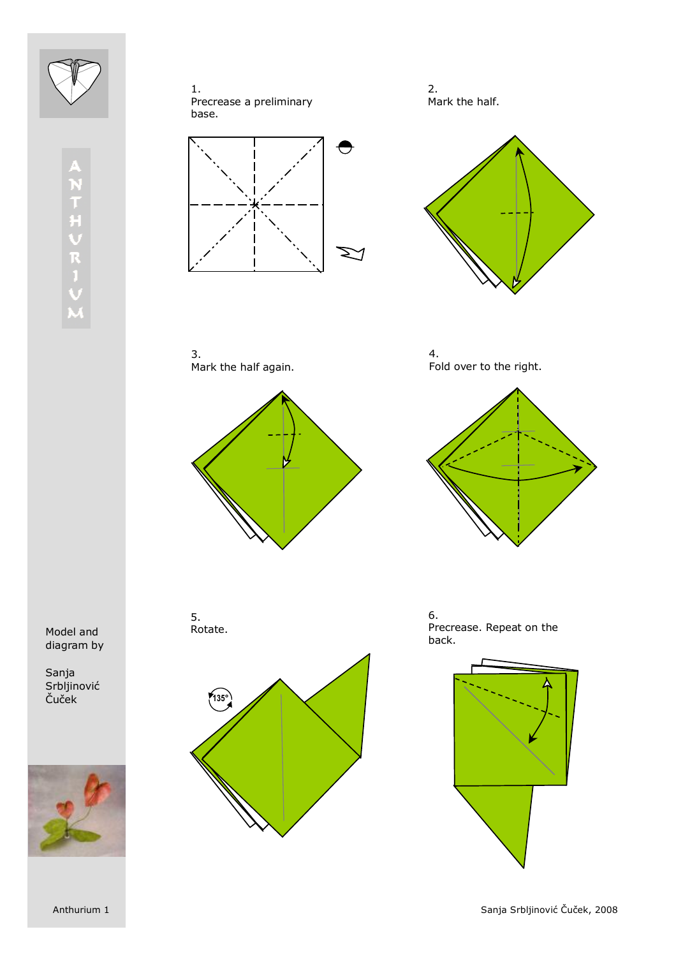





2. Mark the half.



3. Mark the half again.



4. Fold over to the right.



Model and diagram by

Sanja Srbljinović Čuček



5. Rotate.



6. Precrease. Repeat on the back.

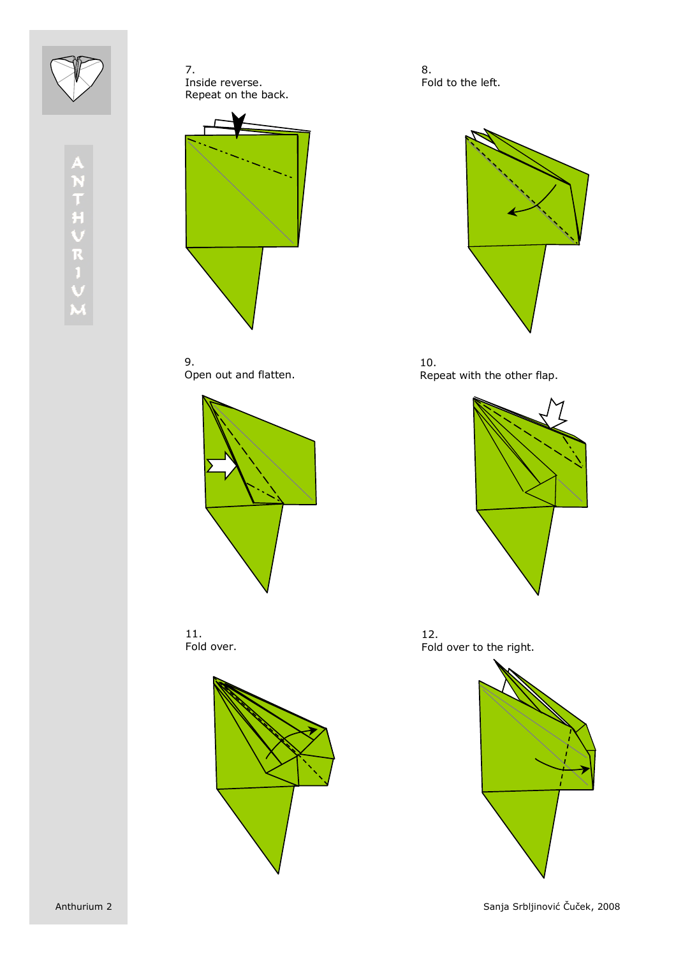





9. Open out and flatten.







8. Fold to the left.



10. Repeat with the other flap.



12. Fold over to the right.

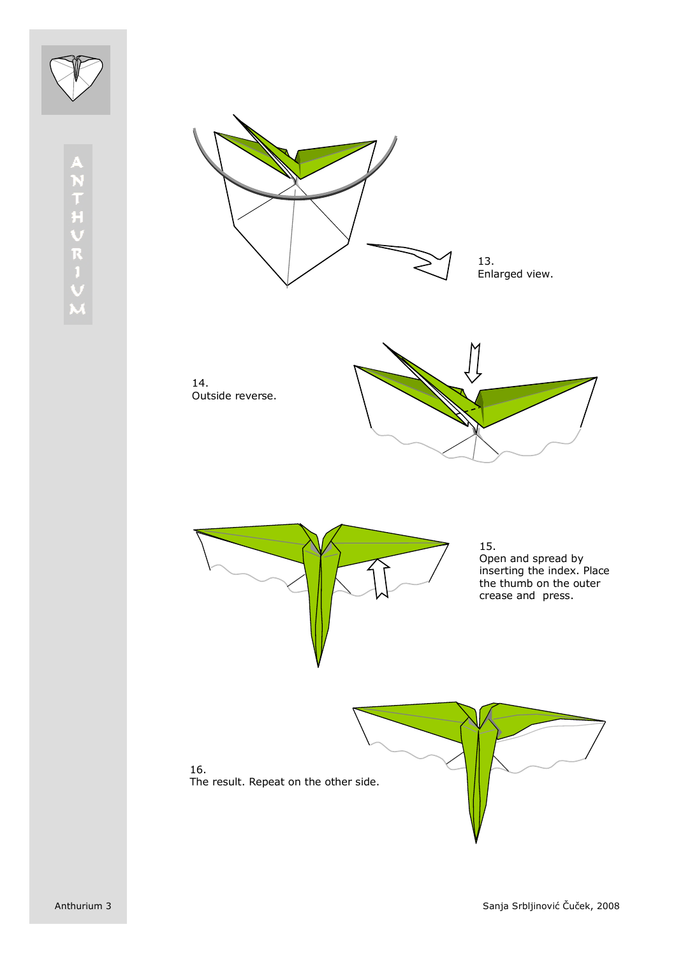

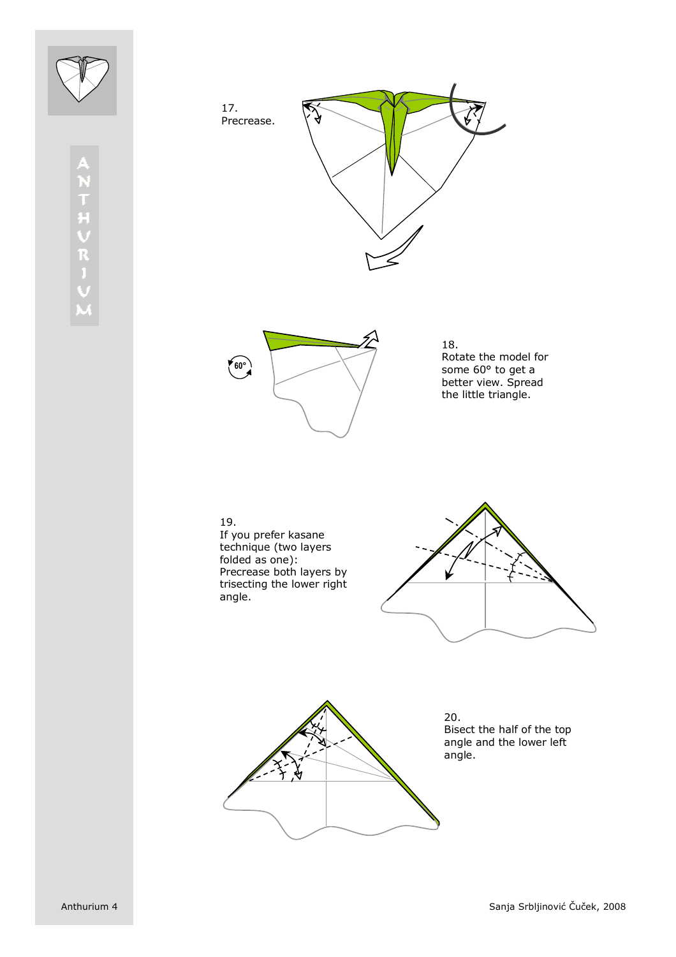





18. Rotate the model for some 60° to get a better view. Spread the little triangle.

19. If you prefer kasane technique (two layers folded as one): Precrease both layers by trisecting the lower right angle.





20. Bisect the half of the top angle and the lower left angle.